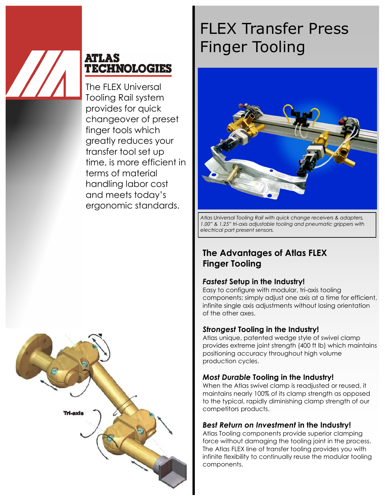

## **ATLAS TECHNOLOGIES**

The FLEX Universal Tooling Rail system provides for quick changeover of preset finger tools which greatly reduces your transfer tool set up time, is more efficient in terms of material handling labor cost and meets today's ergonomic standards.



# FLEX Transfer Press Finger Tooling



*Atlas Universal Tooling Rail with quick change receivers & adapters, 1.00" & 1.25" tri-axis adjustable tooling and pneumatic grippers with electrical part present sensors.*

## **The Advantages of Atlas FLEX Finger Tooling**

#### *Fastest* **Setup in the Industry!**

Easy to configure with modular, tri-axis tooling components; simply adjust one axis at a time for efficient, infinite single axis adjustments without losing orientation of the other axes.

#### *Strongest* **Tooling in the Industry!**

Atlas unique, patented wedge style of swivel clamp provides extreme joint strength (400 ft lb) which maintains positioning accuracy throughout high volume production cycles.

#### *Most Durable* **Tooling in the Industry!**

When the Atlas swivel clamp is readjusted or reused, it maintains nearly 100% of its clamp strength as opposed to the typical, rapidly diminishing clamp strength of our competitors products.

#### *Best Return on Investment* **in the Industry!**

Atlas Tooling components provide superior clamping force without damaging the tooling joint in the process. The Atlas FLEX line of transfer tooling provides you with infinite flexibility to continually reuse the modular tooling components.